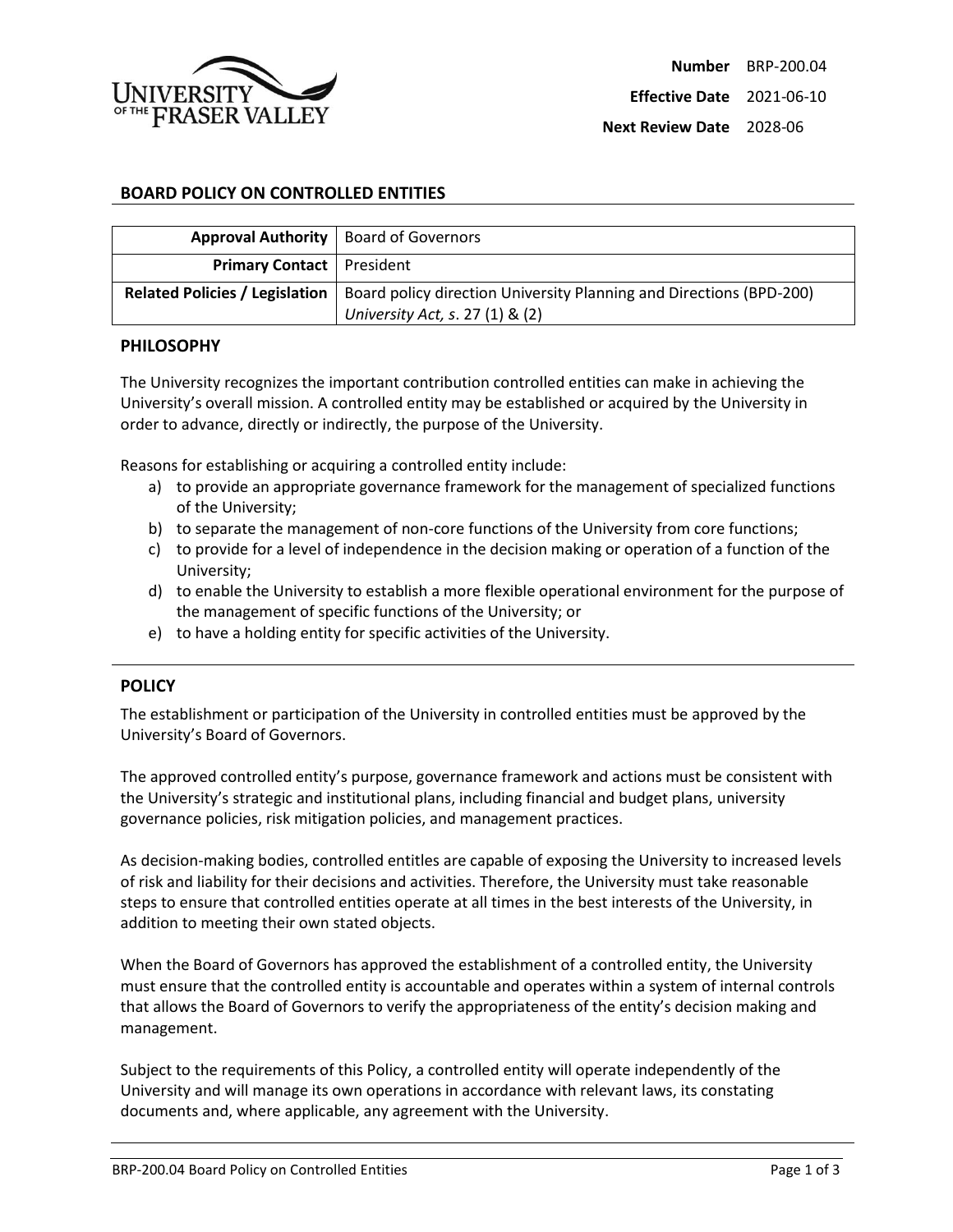

**Next Review Date** 2028-06

## **BOARD POLICY ON CONTROLLED ENTITIES**

|                                       | Approval Authority   Board of Governors                                                                |
|---------------------------------------|--------------------------------------------------------------------------------------------------------|
| <b>Primary Contact</b>   President    |                                                                                                        |
| <b>Related Policies / Legislation</b> | Board policy direction University Planning and Directions (BPD-200)<br>University Act, s. 27 (1) & (2) |

#### **PHILOSOPHY**

The University recognizes the important contribution controlled entities can make in achieving the University's overall mission. A controlled entity may be established or acquired by the University in order to advance, directly or indirectly, the purpose of the University.

Reasons for establishing or acquiring a controlled entity include:

- a) to provide an appropriate governance framework for the management of specialized functions of the University;
- b) to separate the management of non-core functions of the University from core functions;
- c) to provide for a level of independence in the decision making or operation of a function of the University;
- d) to enable the University to establish a more flexible operational environment for the purpose of the management of specific functions of the University; or
- e) to have a holding entity for specific activities of the University.

### **POLICY**

The establishment or participation of the University in controlled entities must be approved by the University's Board of Governors.

The approved controlled entity's purpose, governance framework and actions must be consistent with the University's strategic and institutional plans, including financial and budget plans, university governance policies, risk mitigation policies, and management practices.

As decision-making bodies, controlled entitles are capable of exposing the University to increased levels of risk and liability for their decisions and activities. Therefore, the University must take reasonable steps to ensure that controlled entities operate at all times in the best interests of the University, in addition to meeting their own stated objects.

When the Board of Governors has approved the establishment of a controlled entity, the University must ensure that the controlled entity is accountable and operates within a system of internal controls that allows the Board of Governors to verify the appropriateness of the entity's decision making and management.

Subject to the requirements of this Policy, a controlled entity will operate independently of the University and will manage its own operations in accordance with relevant laws, its constating documents and, where applicable, any agreement with the University.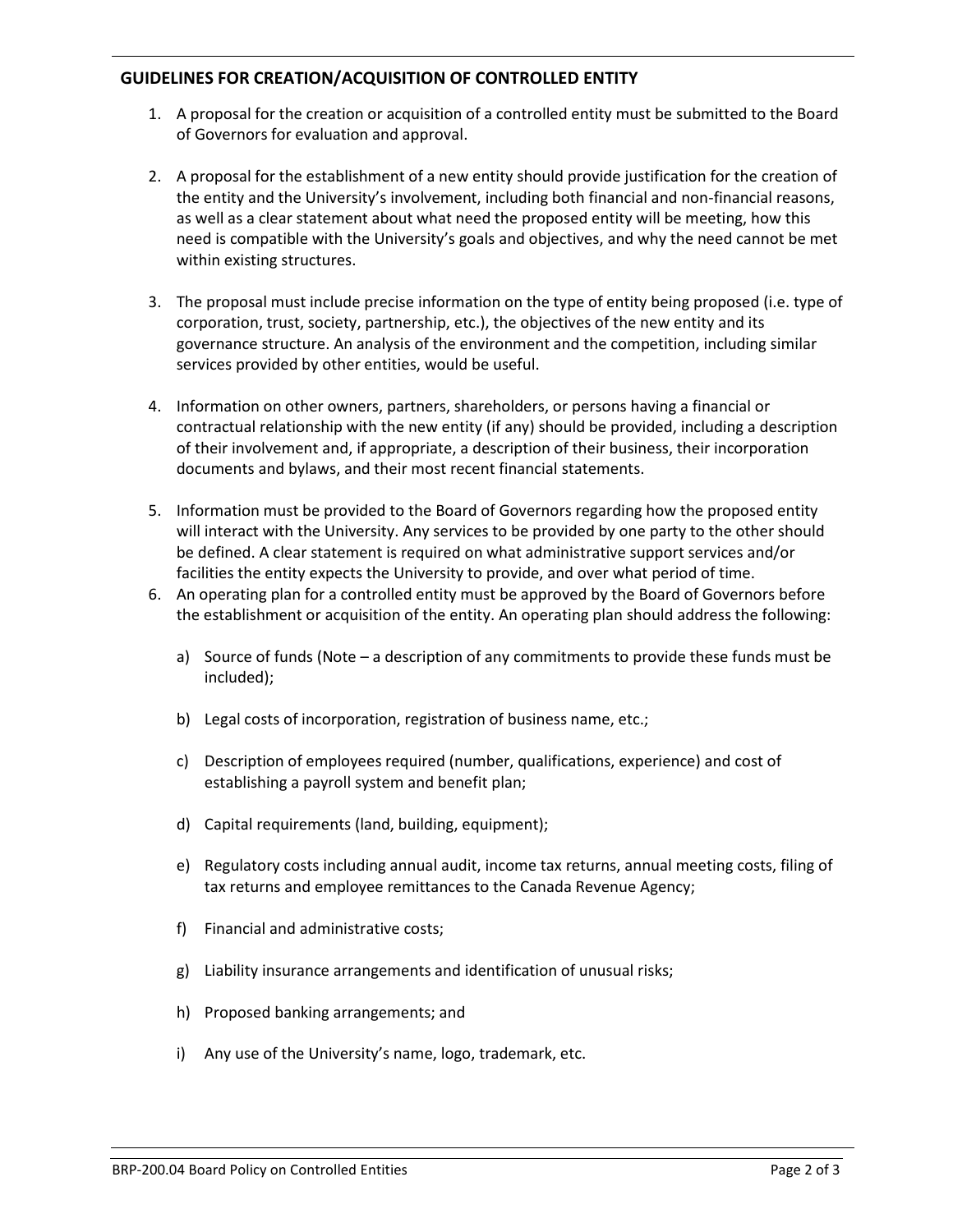# **GUIDELINES FOR CREATION/ACQUISITION OF CONTROLLED ENTITY**

- 1. A proposal for the creation or acquisition of a controlled entity must be submitted to the Board of Governors for evaluation and approval.
- 2. A proposal for the establishment of a new entity should provide justification for the creation of the entity and the University's involvement, including both financial and non-financial reasons, as well as a clear statement about what need the proposed entity will be meeting, how this need is compatible with the University's goals and objectives, and why the need cannot be met within existing structures.
- 3. The proposal must include precise information on the type of entity being proposed (i.e. type of corporation, trust, society, partnership, etc.), the objectives of the new entity and its governance structure. An analysis of the environment and the competition, including similar services provided by other entities, would be useful.
- 4. Information on other owners, partners, shareholders, or persons having a financial or contractual relationship with the new entity (if any) should be provided, including a description of their involvement and, if appropriate, a description of their business, their incorporation documents and bylaws, and their most recent financial statements.
- 5. Information must be provided to the Board of Governors regarding how the proposed entity will interact with the University. Any services to be provided by one party to the other should be defined. A clear statement is required on what administrative support services and/or facilities the entity expects the University to provide, and over what period of time.
- 6. An operating plan for a controlled entity must be approved by the Board of Governors before the establishment or acquisition of the entity. An operating plan should address the following:
	- a) Source of funds (Note a description of any commitments to provide these funds must be included);
	- b) Legal costs of incorporation, registration of business name, etc.;
	- c) Description of employees required (number, qualifications, experience) and cost of establishing a payroll system and benefit plan;
	- d) Capital requirements (land, building, equipment);
	- e) Regulatory costs including annual audit, income tax returns, annual meeting costs, filing of tax returns and employee remittances to the Canada Revenue Agency;
	- f) Financial and administrative costs;
	- g) Liability insurance arrangements and identification of unusual risks;
	- h) Proposed banking arrangements; and
	- i) Any use of the University's name, logo, trademark, etc.